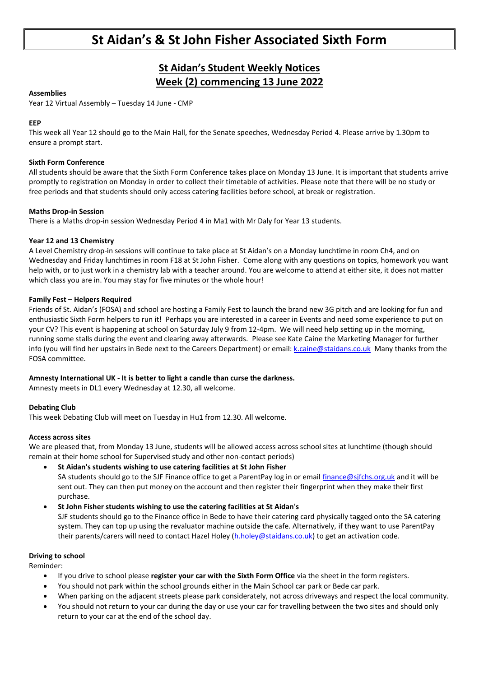# **St Aidan's & St John Fisher Associated Sixth Form**

### **St Aidan's Student Weekly Notices Week (2) commencing 13 June 2022**

#### **Assemblies**

Year 12 Virtual Assembly – Tuesday 14 June - CMP

#### **EEP**

This week all Year 12 should go to the Main Hall, for the Senate speeches, Wednesday Period 4. Please arrive by 1.30pm to ensure a prompt start.

#### **Sixth Form Conference**

All students should be aware that the Sixth Form Conference takes place on Monday 13 June. It is important that students arrive promptly to registration on Monday in order to collect their timetable of activities. Please note that there will be no study or free periods and that students should only access catering facilities before school, at break or registration.

#### **Maths Drop-in Session**

There is a Maths drop-in session Wednesday Period 4 in Ma1 with Mr Daly for Year 13 students.

#### **Year 12 and 13 Chemistry**

A Level Chemistry drop-in sessions will continue to take place at St Aidan's on a Monday lunchtime in room Ch4, and on Wednesday and Friday lunchtimes in room F18 at St John Fisher. Come along with any questions on topics, homework you want help with, or to just work in a chemistry lab with a teacher around. You are welcome to attend at either site, it does not matter which class you are in. You may stay for five minutes or the whole hour!

#### **Family Fest – Helpers Required**

Friends of St. Aidan's (FOSA) and school are hosting a Family Fest to launch the brand new 3G pitch and are looking for fun and enthusiastic Sixth Form helpers to run it! Perhaps you are interested in a career in Events and need some experience to put on your CV? This event is happening at school on Saturday July 9 from 12-4pm. We will need help setting up in the morning, running some stalls during the event and clearing away afterwards. Please see Kate Caine the Marketing Manager for further info (you will find her upstairs in Bede next to the Careers Department) or email: [k.caine@staidans.co.uk](mailto:k.caine@staidans.co.uk) Many thanks from the FOSA committee.

#### **Amnesty International UK - It is better to light a candle than curse the darkness.**

Amnesty meets in DL1 every Wednesday at 12.30, all welcome.

#### **Debating Club**

This week Debating Club will meet on Tuesday in Hu1 from 12.30. All welcome.

#### **Access across sites**

We are pleased that, from Monday 13 June, students will be allowed access across school sites at lunchtime (though should remain at their home school for Supervised study and other non-contact periods)

- **St Aidan's students wishing to use catering facilities at St John Fisher** SA students should go to the SJF Finance office to get a ParentPay log in or email [finance@sjfchs.org.uk](mailto:finance@sjfchs.org.uk) and it will be sent out. They can then put money on the account and then register their fingerprint when they make their first purchase.
- **St John Fisher students wishing to use the catering facilities at St Aidan's** SJF students should go to the Finance office in Bede to have their catering card physically tagged onto the SA catering system. They can top up using the revaluator machine outside the cafe. Alternatively, if they want to use ParentPay their parents/carers will need to contact Hazel Holey [\(h.holey@staidans.co.uk\)](mailto:h.holey@staidans.co.uk) to get an activation code.

#### **Driving to school**

Reminder:

- If you drive to school please **register your car with the Sixth Form Office** via the sheet in the form registers.
- You should not park within the school grounds either in the Main School car park or Bede car park.
- When parking on the adjacent streets please park considerately, not across driveways and respect the local community.
- You should not return to your car during the day or use your car for travelling between the two sites and should only return to your car at the end of the school day.